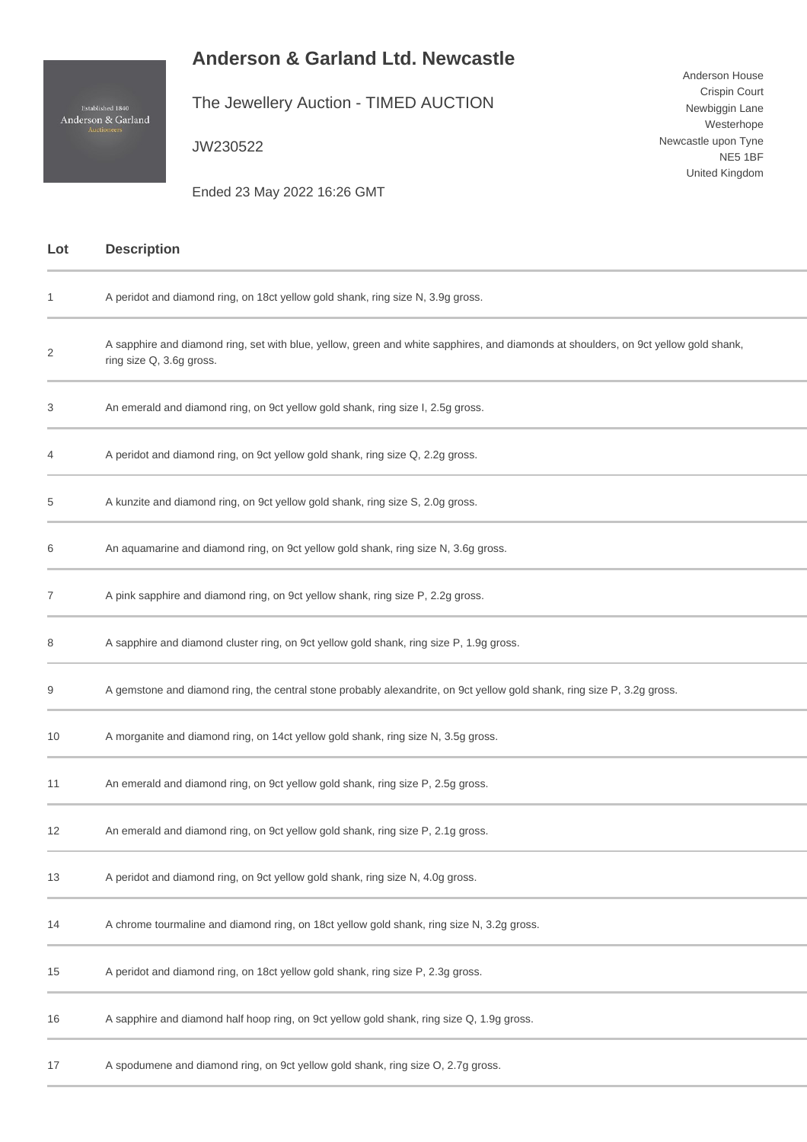## **Anderson & Garland Ltd. Newcastle**

Anderson House Crispin Court Newbiggin Lane Westerhope

Newcastle upon Tyne

NE5 1BF United Kingdom

The Jewellery Auction - TIMED AUCTION

JW230522

Ended 23 May 2022 16:26 GMT

| Lot | <b>Description</b>                                                                                                                                              |
|-----|-----------------------------------------------------------------------------------------------------------------------------------------------------------------|
| 1   | A peridot and diamond ring, on 18ct yellow gold shank, ring size N, 3.9g gross.                                                                                 |
| 2   | A sapphire and diamond ring, set with blue, yellow, green and white sapphires, and diamonds at shoulders, on 9ct yellow gold shank,<br>ring size Q, 3.6g gross. |
| 3   | An emerald and diamond ring, on 9ct yellow gold shank, ring size I, 2.5g gross.                                                                                 |
| 4   | A peridot and diamond ring, on 9ct yellow gold shank, ring size Q, 2.2g gross.                                                                                  |
| 5   | A kunzite and diamond ring, on 9ct yellow gold shank, ring size S, 2.0g gross.                                                                                  |
| 6   | An aquamarine and diamond ring, on 9ct yellow gold shank, ring size N, 3.6g gross.                                                                              |
| 7   | A pink sapphire and diamond ring, on 9ct yellow shank, ring size P, 2.2g gross.                                                                                 |
| 8   | A sapphire and diamond cluster ring, on 9ct yellow gold shank, ring size P, 1.9g gross.                                                                         |
| 9   | A gemstone and diamond ring, the central stone probably alexandrite, on 9ct yellow gold shank, ring size P, 3.2g gross.                                         |
| 10  | A morganite and diamond ring, on 14ct yellow gold shank, ring size N, 3.5g gross.                                                                               |
| 11  | An emerald and diamond ring, on 9ct yellow gold shank, ring size P, 2.5g gross.                                                                                 |
| 12  | An emerald and diamond ring, on 9ct yellow gold shank, ring size P, 2.1g gross.                                                                                 |
| 13  | A peridot and diamond ring, on 9ct yellow gold shank, ring size N, 4.0g gross.                                                                                  |
| 14  | A chrome tourmaline and diamond ring, on 18ct yellow gold shank, ring size N, 3.2g gross.                                                                       |
| 15  | A peridot and diamond ring, on 18ct yellow gold shank, ring size P, 2.3g gross.                                                                                 |
| 16  | A sapphire and diamond half hoop ring, on 9ct yellow gold shank, ring size Q, 1.9g gross.                                                                       |
| 17  | A spodumene and diamond ring, on 9ct yellow gold shank, ring size O, 2.7g gross.                                                                                |

Established 1840<br>Anderson & Garland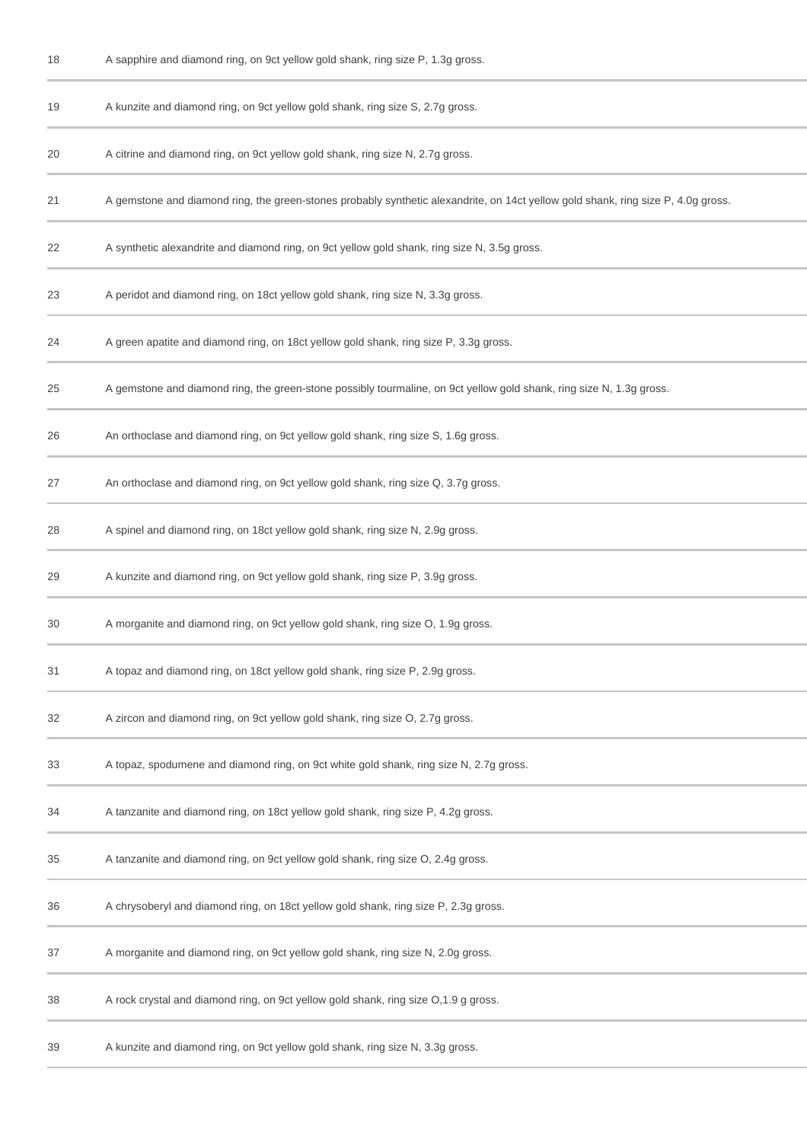| 18 | A sapphire and diamond ring, on 9ct yellow gold shank, ring size P, 1.3g gross.                                                   |
|----|-----------------------------------------------------------------------------------------------------------------------------------|
| 19 | A kunzite and diamond ring, on 9ct yellow gold shank, ring size S, 2.7g gross.                                                    |
| 20 | A citrine and diamond ring, on 9ct yellow gold shank, ring size N, 2.7g gross.                                                    |
| 21 | A gemstone and diamond ring, the green-stones probably synthetic alexandrite, on 14ct yellow gold shank, ring size P, 4.0g gross. |
| 22 | A synthetic alexandrite and diamond ring, on 9ct yellow gold shank, ring size N, 3.5g gross.                                      |
| 23 | A peridot and diamond ring, on 18ct yellow gold shank, ring size N, 3.3g gross.                                                   |
| 24 | A green apatite and diamond ring, on 18ct yellow gold shank, ring size P, 3.3g gross.                                             |
| 25 | A gemstone and diamond ring, the green-stone possibly tourmaline, on 9ct yellow gold shank, ring size N, 1.3g gross.              |
| 26 | An orthoclase and diamond ring, on 9ct yellow gold shank, ring size S, 1.6g gross.                                                |
| 27 | An orthoclase and diamond ring, on 9ct yellow gold shank, ring size Q, 3.7g gross.                                                |
| 28 | A spinel and diamond ring, on 18ct yellow gold shank, ring size N, 2.9g gross.                                                    |
| 29 | A kunzite and diamond ring, on 9ct yellow gold shank, ring size P, 3.9g gross.                                                    |
| 30 | A morganite and diamond ring, on 9ct yellow gold shank, ring size O, 1.9g gross.                                                  |
| 31 | A topaz and diamond ring, on 18ct yellow gold shank, ring size P, 2.9g gross.                                                     |
| 32 | A zircon and diamond ring, on 9ct yellow gold shank, ring size O, 2.7g gross.                                                     |
| 33 | A topaz, spodumene and diamond ring, on 9ct white gold shank, ring size N, 2.7g gross.                                            |
| 34 | A tanzanite and diamond ring, on 18ct yellow gold shank, ring size P, 4.2g gross.                                                 |
| 35 | A tanzanite and diamond ring, on 9ct yellow gold shank, ring size O, 2.4g gross.                                                  |
| 36 | A chrysoberyl and diamond ring, on 18ct yellow gold shank, ring size P, 2.3g gross.                                               |
| 37 | A morganite and diamond ring, on 9ct yellow gold shank, ring size N, 2.0g gross.                                                  |
| 38 | A rock crystal and diamond ring, on 9ct yellow gold shank, ring size O,1.9 g gross.                                               |
| 39 | A kunzite and diamond ring, on 9ct yellow gold shank, ring size N, 3.3g gross.                                                    |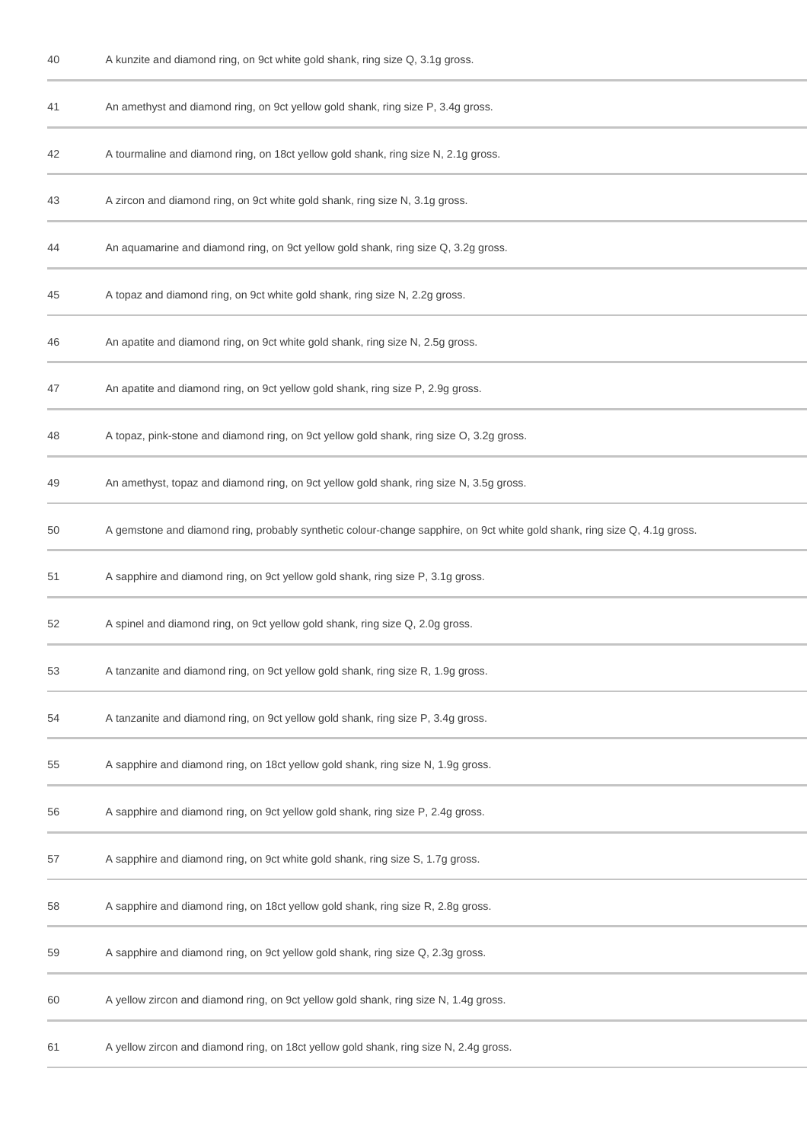| 40 | A kunzite and diamond ring, on 9ct white gold shank, ring size Q, 3.1g gross.                                             |
|----|---------------------------------------------------------------------------------------------------------------------------|
| 41 | An amethyst and diamond ring, on 9ct yellow gold shank, ring size P, 3.4g gross.                                          |
| 42 | A tourmaline and diamond ring, on 18ct yellow gold shank, ring size N, 2.1g gross.                                        |
| 43 | A zircon and diamond ring, on 9ct white gold shank, ring size N, 3.1g gross.                                              |
| 44 | An aquamarine and diamond ring, on 9ct yellow gold shank, ring size Q, 3.2g gross.                                        |
| 45 | A topaz and diamond ring, on 9ct white gold shank, ring size N, 2.2g gross.                                               |
| 46 | An apatite and diamond ring, on 9ct white gold shank, ring size N, 2.5g gross.                                            |
| 47 | An apatite and diamond ring, on 9ct yellow gold shank, ring size P, 2.9g gross.                                           |
| 48 | A topaz, pink-stone and diamond ring, on 9ct yellow gold shank, ring size O, 3.2g gross.                                  |
| 49 | An amethyst, topaz and diamond ring, on 9ct yellow gold shank, ring size N, 3.5g gross.                                   |
| 50 | A gemstone and diamond ring, probably synthetic colour-change sapphire, on 9ct white gold shank, ring size Q, 4.1g gross. |
| 51 | A sapphire and diamond ring, on 9ct yellow gold shank, ring size P, 3.1g gross.                                           |
| 52 | A spinel and diamond ring, on 9ct yellow gold shank, ring size Q, 2.0g gross.                                             |
| 53 | A tanzanite and diamond ring, on 9ct yellow gold shank, ring size R, 1.9g gross.                                          |
| 54 | A tanzanite and diamond ring, on 9ct yellow gold shank, ring size P, 3.4g gross.                                          |
| 55 | A sapphire and diamond ring, on 18ct yellow gold shank, ring size N, 1.9g gross.                                          |
| 56 | A sapphire and diamond ring, on 9ct yellow gold shank, ring size P, 2.4g gross.                                           |
| 57 | A sapphire and diamond ring, on 9ct white gold shank, ring size S, 1.7g gross.                                            |
| 58 | A sapphire and diamond ring, on 18ct yellow gold shank, ring size R, 2.8g gross.                                          |
| 59 | A sapphire and diamond ring, on 9ct yellow gold shank, ring size Q, 2.3g gross.                                           |
| 60 | A yellow zircon and diamond ring, on 9ct yellow gold shank, ring size N, 1.4g gross.                                      |
| 61 | A yellow zircon and diamond ring, on 18ct yellow gold shank, ring size N, 2.4g gross.                                     |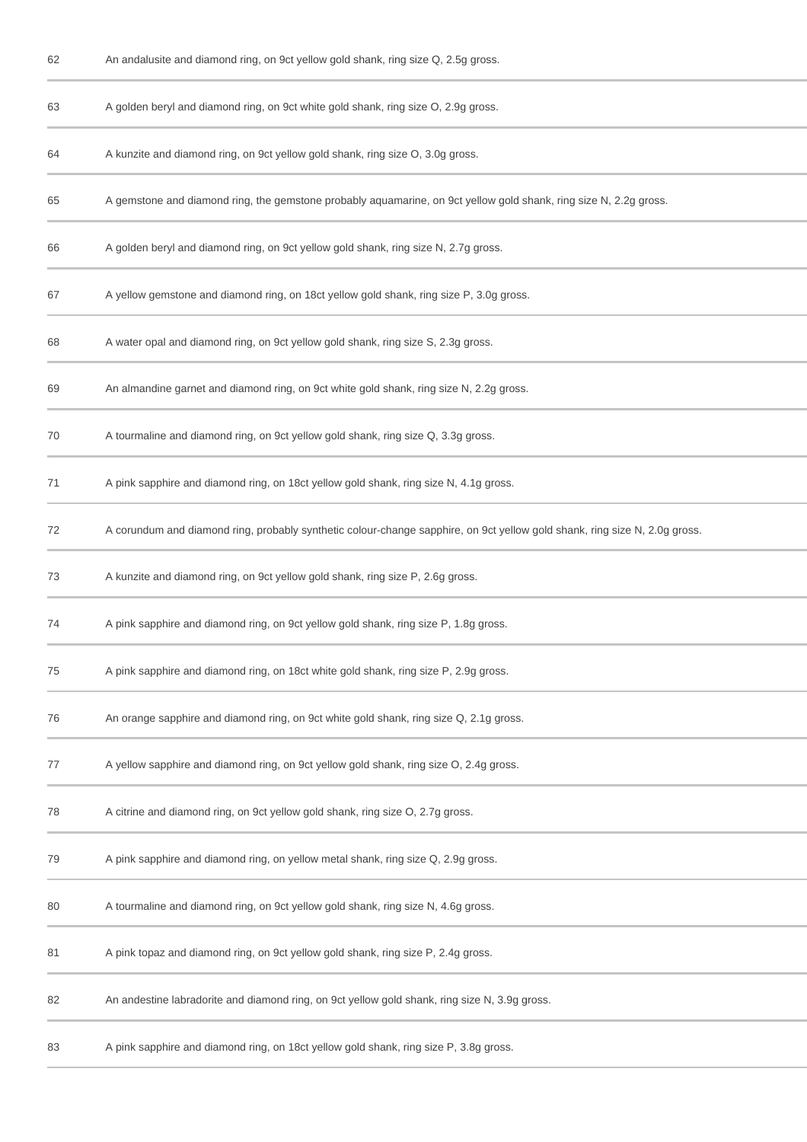| 62 | An andalusite and diamond ring, on 9ct yellow gold shank, ring size Q, 2.5g gross.                                         |
|----|----------------------------------------------------------------------------------------------------------------------------|
| 63 | A golden beryl and diamond ring, on 9ct white gold shank, ring size O, 2.9g gross.                                         |
| 64 | A kunzite and diamond ring, on 9ct yellow gold shank, ring size O, 3.0g gross.                                             |
| 65 | A gemstone and diamond ring, the gemstone probably aquamarine, on 9ct yellow gold shank, ring size N, 2.2g gross.          |
| 66 | A golden beryl and diamond ring, on 9ct yellow gold shank, ring size N, 2.7g gross.                                        |
| 67 | A yellow gemstone and diamond ring, on 18ct yellow gold shank, ring size P, 3.0g gross.                                    |
| 68 | A water opal and diamond ring, on 9ct yellow gold shank, ring size S, 2.3g gross.                                          |
| 69 | An almandine garnet and diamond ring, on 9ct white gold shank, ring size N, 2.2g gross.                                    |
| 70 | A tourmaline and diamond ring, on 9ct yellow gold shank, ring size Q, 3.3g gross.                                          |
| 71 | A pink sapphire and diamond ring, on 18ct yellow gold shank, ring size N, 4.1g gross.                                      |
| 72 | A corundum and diamond ring, probably synthetic colour-change sapphire, on 9ct yellow gold shank, ring size N, 2.0g gross. |
| 73 | A kunzite and diamond ring, on 9ct yellow gold shank, ring size P, 2.6g gross.                                             |
| 74 | A pink sapphire and diamond ring, on 9ct yellow gold shank, ring size P, 1.8g gross.                                       |
| 75 | A pink sapphire and diamond ring, on 18ct white gold shank, ring size P, 2.9g gross.                                       |
| 76 | An orange sapphire and diamond ring, on 9ct white gold shank, ring size Q, 2.1g gross.                                     |
| 77 | A yellow sapphire and diamond ring, on 9ct yellow gold shank, ring size O, 2.4g gross.                                     |
| 78 | A citrine and diamond ring, on 9ct yellow gold shank, ring size O, 2.7g gross.                                             |
| 79 | A pink sapphire and diamond ring, on yellow metal shank, ring size Q, 2.9g gross.                                          |
| 80 | A tourmaline and diamond ring, on 9ct yellow gold shank, ring size N, 4.6g gross.                                          |
| 81 | A pink topaz and diamond ring, on 9ct yellow gold shank, ring size P, 2.4g gross.                                          |
| 82 | An andestine labradorite and diamond ring, on 9ct yellow gold shank, ring size N, 3.9g gross.                              |
| 83 | A pink sapphire and diamond ring, on 18ct yellow gold shank, ring size P, 3.8g gross.                                      |
|    |                                                                                                                            |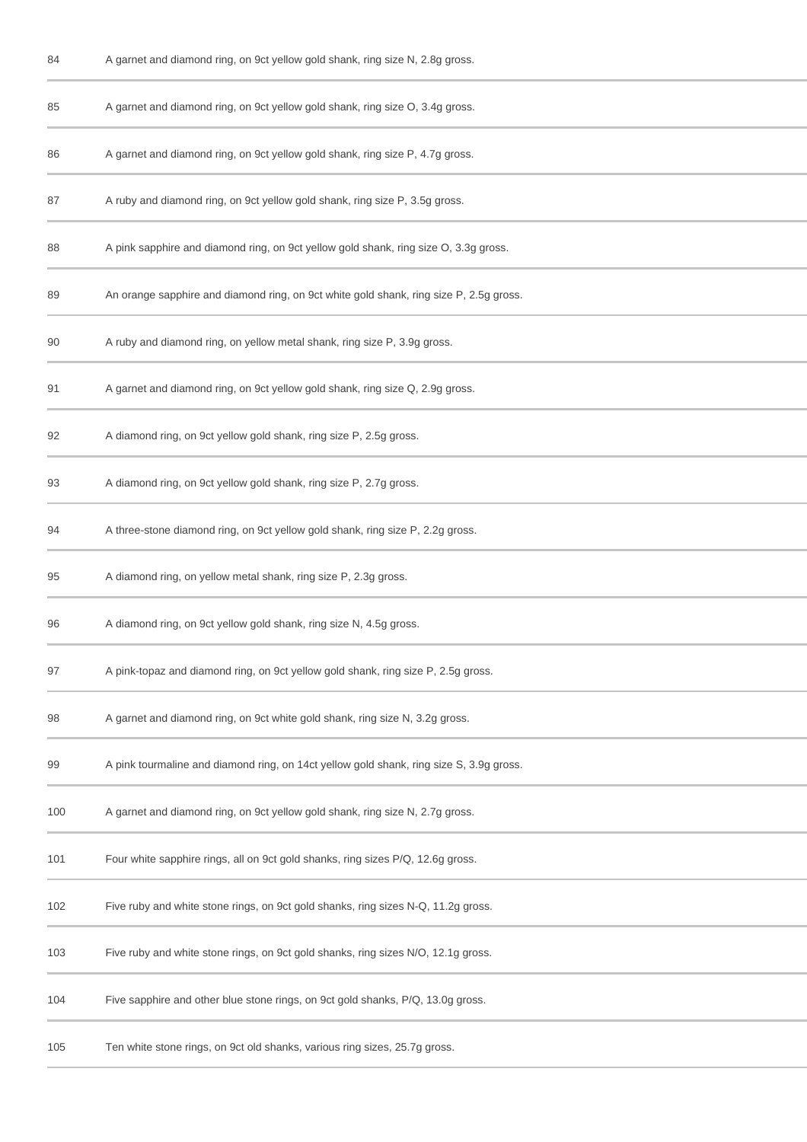| 84  | A garnet and diamond ring, on 9ct yellow gold shank, ring size N, 2.8g gross.           |
|-----|-----------------------------------------------------------------------------------------|
| 85  | A garnet and diamond ring, on 9ct yellow gold shank, ring size O, 3.4g gross.           |
| 86  | A garnet and diamond ring, on 9ct yellow gold shank, ring size P, 4.7g gross.           |
| 87  | A ruby and diamond ring, on 9ct yellow gold shank, ring size P, 3.5g gross.             |
| 88  | A pink sapphire and diamond ring, on 9ct yellow gold shank, ring size O, 3.3g gross.    |
| 89  | An orange sapphire and diamond ring, on 9ct white gold shank, ring size P, 2.5g gross.  |
| 90  | A ruby and diamond ring, on yellow metal shank, ring size P, 3.9g gross.                |
| 91  | A garnet and diamond ring, on 9ct yellow gold shank, ring size Q, 2.9g gross.           |
| 92  | A diamond ring, on 9ct yellow gold shank, ring size P, 2.5g gross.                      |
| 93  | A diamond ring, on 9ct yellow gold shank, ring size P, 2.7g gross.                      |
| 94  | A three-stone diamond ring, on 9ct yellow gold shank, ring size P, 2.2g gross.          |
| 95  | A diamond ring, on yellow metal shank, ring size P, 2.3g gross.                         |
| 96  | A diamond ring, on 9ct yellow gold shank, ring size N, 4.5g gross.                      |
| 97  | A pink-topaz and diamond ring, on 9ct yellow gold shank, ring size P, 2.5g gross.       |
| 98  | A garnet and diamond ring, on 9ct white gold shank, ring size N, 3.2g gross.            |
| 99  | A pink tourmaline and diamond ring, on 14ct yellow gold shank, ring size S, 3.9g gross. |
| 100 | A garnet and diamond ring, on 9ct yellow gold shank, ring size N, 2.7g gross.           |
| 101 | Four white sapphire rings, all on 9ct gold shanks, ring sizes P/Q, 12.6g gross.         |
| 102 | Five ruby and white stone rings, on 9ct gold shanks, ring sizes N-Q, 11.2g gross.       |
| 103 | Five ruby and white stone rings, on 9ct gold shanks, ring sizes N/O, 12.1g gross.       |
| 104 | Five sapphire and other blue stone rings, on 9ct gold shanks, P/Q, 13.0g gross.         |
| 105 | Ten white stone rings, on 9ct old shanks, various ring sizes, 25.7g gross.              |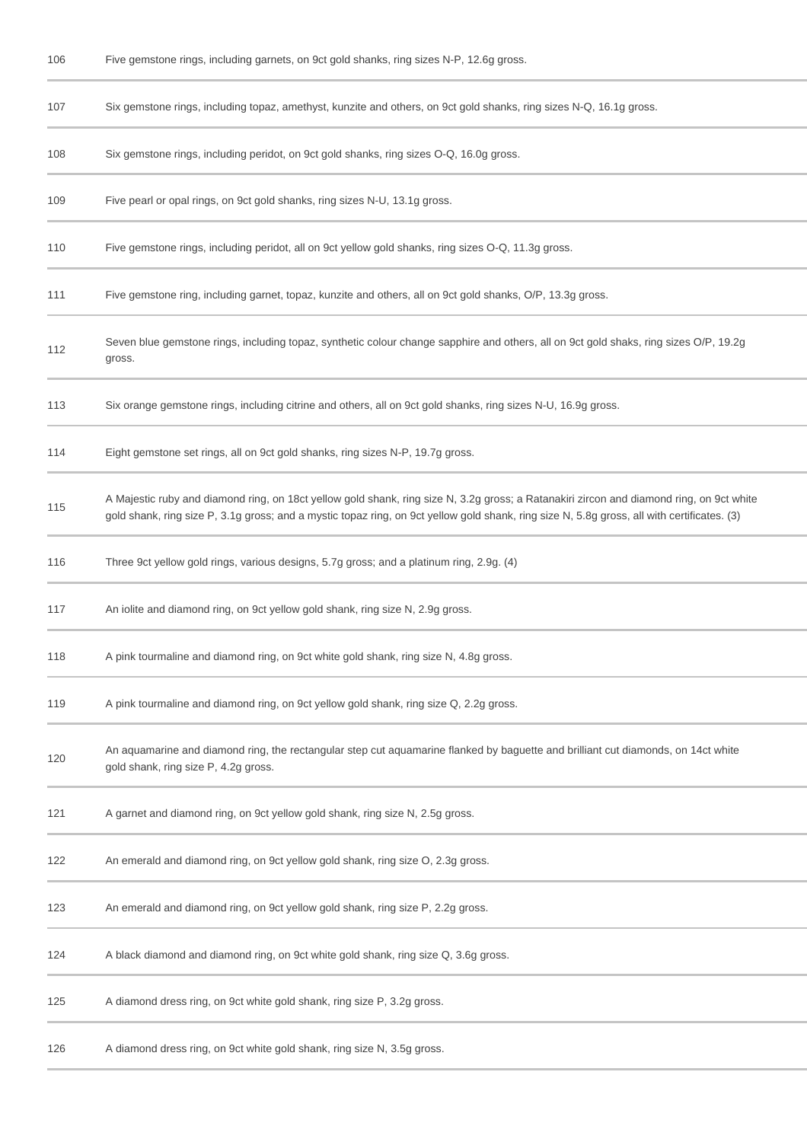| 106 | Five gemstone rings, including garnets, on 9ct gold shanks, ring sizes N-P, 12.6g gross.                                                                                                                                                                                                |
|-----|-----------------------------------------------------------------------------------------------------------------------------------------------------------------------------------------------------------------------------------------------------------------------------------------|
| 107 | Six gemstone rings, including topaz, amethyst, kunzite and others, on 9ct gold shanks, ring sizes N-Q, 16.1g gross.                                                                                                                                                                     |
| 108 | Six gemstone rings, including peridot, on 9ct gold shanks, ring sizes O-Q, 16.0g gross.                                                                                                                                                                                                 |
| 109 | Five pearl or opal rings, on 9ct gold shanks, ring sizes N-U, 13.1g gross.                                                                                                                                                                                                              |
| 110 | Five gemstone rings, including peridot, all on 9ct yellow gold shanks, ring sizes O-Q, 11.3g gross.                                                                                                                                                                                     |
| 111 | Five gemstone ring, including garnet, topaz, kunzite and others, all on 9ct gold shanks, O/P, 13.3g gross.                                                                                                                                                                              |
| 112 | Seven blue gemstone rings, including topaz, synthetic colour change sapphire and others, all on 9ct gold shaks, ring sizes O/P, 19.2g<br>gross.                                                                                                                                         |
| 113 | Six orange gemstone rings, including citrine and others, all on 9ct gold shanks, ring sizes N-U, 16.9g gross.                                                                                                                                                                           |
| 114 | Eight gemstone set rings, all on 9ct gold shanks, ring sizes N-P, 19.7g gross.                                                                                                                                                                                                          |
| 115 | A Majestic ruby and diamond ring, on 18ct yellow gold shank, ring size N, 3.2g gross; a Ratanakiri zircon and diamond ring, on 9ct white<br>gold shank, ring size P, 3.1g gross; and a mystic topaz ring, on 9ct yellow gold shank, ring size N, 5.8g gross, all with certificates. (3) |
| 116 | Three 9ct yellow gold rings, various designs, 5.7g gross; and a platinum ring, 2.9g. (4)                                                                                                                                                                                                |
| 117 | An iolite and diamond ring, on 9ct yellow gold shank, ring size N, 2.9g gross.                                                                                                                                                                                                          |
| 118 | A pink tourmaline and diamond ring, on 9ct white gold shank, ring size N, 4.8g gross.                                                                                                                                                                                                   |
| 119 | A pink tourmaline and diamond ring, on 9ct yellow gold shank, ring size Q, 2.2g gross.                                                                                                                                                                                                  |
| 120 | An aquamarine and diamond ring, the rectangular step cut aquamarine flanked by baguette and brilliant cut diamonds, on 14ct white<br>gold shank, ring size P, 4.2g gross.                                                                                                               |
| 121 | A garnet and diamond ring, on 9ct yellow gold shank, ring size N, 2.5g gross.                                                                                                                                                                                                           |
| 122 | An emerald and diamond ring, on 9ct yellow gold shank, ring size O, 2.3g gross.                                                                                                                                                                                                         |
| 123 | An emerald and diamond ring, on 9ct yellow gold shank, ring size P, 2.2g gross.                                                                                                                                                                                                         |
| 124 | A black diamond and diamond ring, on 9ct white gold shank, ring size Q, 3.6g gross.                                                                                                                                                                                                     |
| 125 | A diamond dress ring, on 9ct white gold shank, ring size P, 3.2g gross.                                                                                                                                                                                                                 |
| 126 | A diamond dress ring, on 9ct white gold shank, ring size N, 3.5g gross.                                                                                                                                                                                                                 |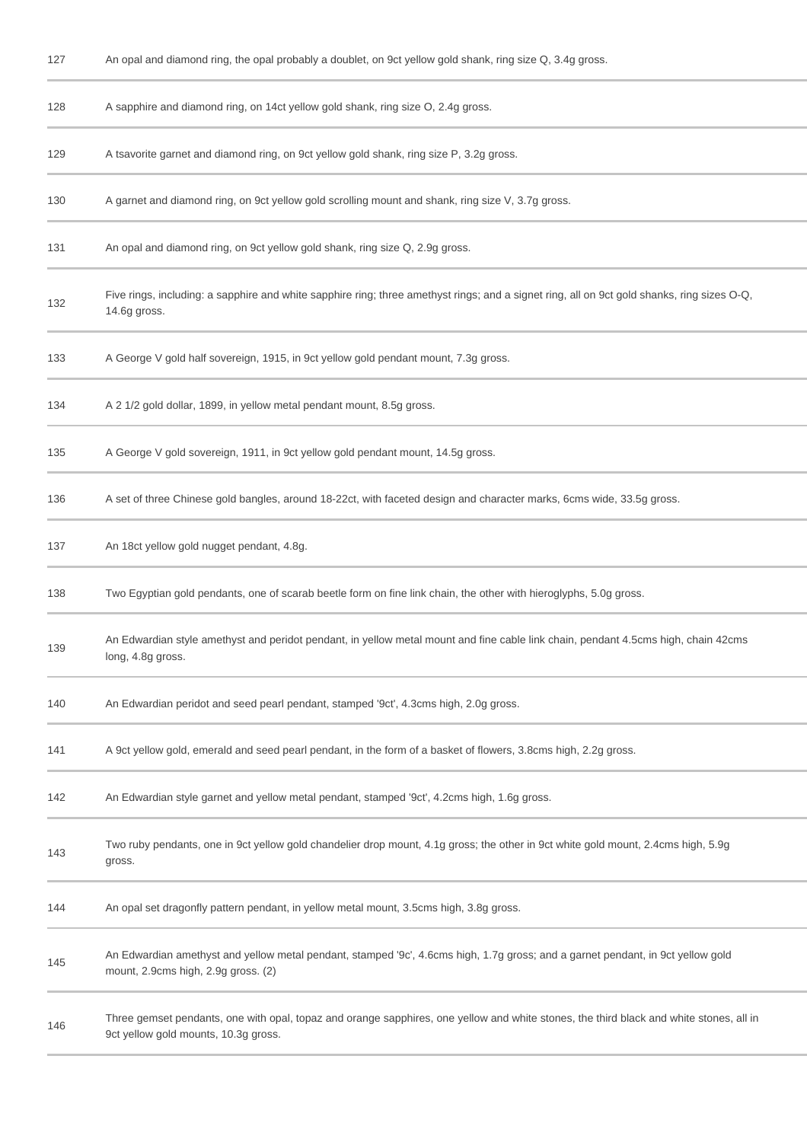| 127 | An opal and diamond ring, the opal probably a doublet, on 9ct yellow gold shank, ring size Q, 3.4g gross.                                                                       |
|-----|---------------------------------------------------------------------------------------------------------------------------------------------------------------------------------|
| 128 | A sapphire and diamond ring, on 14ct yellow gold shank, ring size O, 2.4g gross.                                                                                                |
| 129 | A tsavorite garnet and diamond ring, on 9ct yellow gold shank, ring size P, 3.2g gross.                                                                                         |
| 130 | A garnet and diamond ring, on 9ct yellow gold scrolling mount and shank, ring size V, 3.7g gross.                                                                               |
| 131 | An opal and diamond ring, on 9ct yellow gold shank, ring size Q, 2.9g gross.                                                                                                    |
| 132 | Five rings, including: a sapphire and white sapphire ring; three amethyst rings; and a signet ring, all on 9ct gold shanks, ring sizes O-Q,<br>14.6g gross.                     |
| 133 | A George V gold half sovereign, 1915, in 9ct yellow gold pendant mount, 7.3g gross.                                                                                             |
| 134 | A 2 1/2 gold dollar, 1899, in yellow metal pendant mount, 8.5g gross.                                                                                                           |
| 135 | A George V gold sovereign, 1911, in 9ct yellow gold pendant mount, 14.5g gross.                                                                                                 |
| 136 | A set of three Chinese gold bangles, around 18-22ct, with faceted design and character marks, 6cms wide, 33.5g gross.                                                           |
| 137 | An 18ct yellow gold nugget pendant, 4.8g.                                                                                                                                       |
| 138 | Two Egyptian gold pendants, one of scarab beetle form on fine link chain, the other with hieroglyphs, 5.0g gross.                                                               |
| 139 | An Edwardian style amethyst and peridot pendant, in yellow metal mount and fine cable link chain, pendant 4.5cms high, chain 42cms<br>long, 4.8g gross.                         |
| 140 | An Edwardian peridot and seed pearl pendant, stamped '9ct', 4.3cms high, 2.0g gross.                                                                                            |
| 141 | A 9ct yellow gold, emerald and seed pearl pendant, in the form of a basket of flowers, 3.8cms high, 2.2g gross.                                                                 |
| 142 | An Edwardian style garnet and yellow metal pendant, stamped '9ct', 4.2cms high, 1.6g gross.                                                                                     |
| 143 | Two ruby pendants, one in 9ct yellow gold chandelier drop mount, 4.1g gross; the other in 9ct white gold mount, 2.4cms high, 5.9g<br>gross.                                     |
| 144 | An opal set dragonfly pattern pendant, in yellow metal mount, 3.5cms high, 3.8g gross.                                                                                          |
| 145 | An Edwardian amethyst and yellow metal pendant, stamped '9c', 4.6cms high, 1.7g gross; and a garnet pendant, in 9ct yellow gold<br>mount, 2.9cms high, 2.9g gross. (2)          |
| 146 | Three gemset pendants, one with opal, topaz and orange sapphires, one yellow and white stones, the third black and white stones, all in<br>9ct yellow gold mounts, 10.3g gross. |